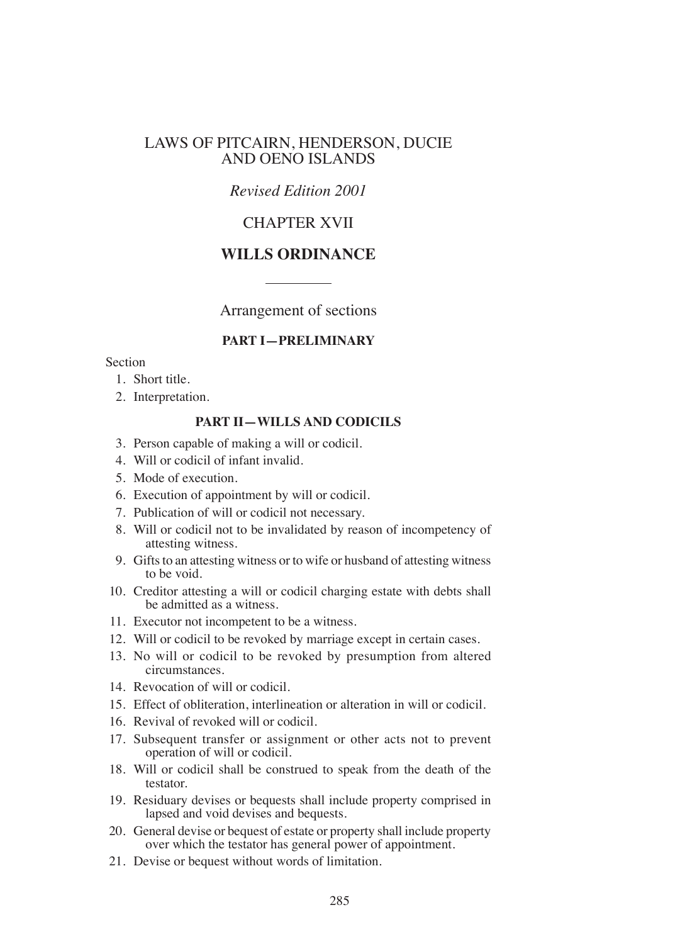### LAWS OF PITCAIRN, HENDERSON, DUCIE AND OENO ISLANDS

## *Revised Edition 2001*

# CHAPTER XVII

## **WILLS ORDINANCE**

Arrangement of sections

#### **PART I—PRELIMINARY**

#### Section

- 1. Short title.
- 2. Interpretation.

#### **PART II—WILLS AND CODICILS**

- 3. Person capable of making a will or codicil.
- 4. Will or codicil of infant invalid.
- 5. Mode of execution.
- 6. Execution of appointment by will or codicil.
- 7. Publication of will or codicil not necessary.
- 8. Will or codicil not to be invalidated by reason of incompetency of attesting witness.
- 9. Gifts to an attesting witness or to wife or husband of attesting witness to be void.
- 10. Creditor attesting a will or codicil charging estate with debts shall be admitted as a witness.
- 11. Executor not incompetent to be a witness.
- 12. Will or codicil to be revoked by marriage except in certain cases.
- 13. No will or codicil to be revoked by presumption from altered circumstances.
- 14. Revocation of will or codicil.
- 15. Effect of obliteration, interlineation or alteration in will or codicil.
- 16. Revival of revoked will or codicil.
- 17. Subsequent transfer or assignment or other acts not to prevent operation of will or codicil.
- 18. Will or codicil shall be construed to speak from the death of the testator.
- 19. Residuary devises or bequests shall include property comprised in lapsed and void devises and bequests.
- 20. General devise or bequest of estate or property shall include property over which the testator has general power of appointment.
- 21. Devise or bequest without words of limitation.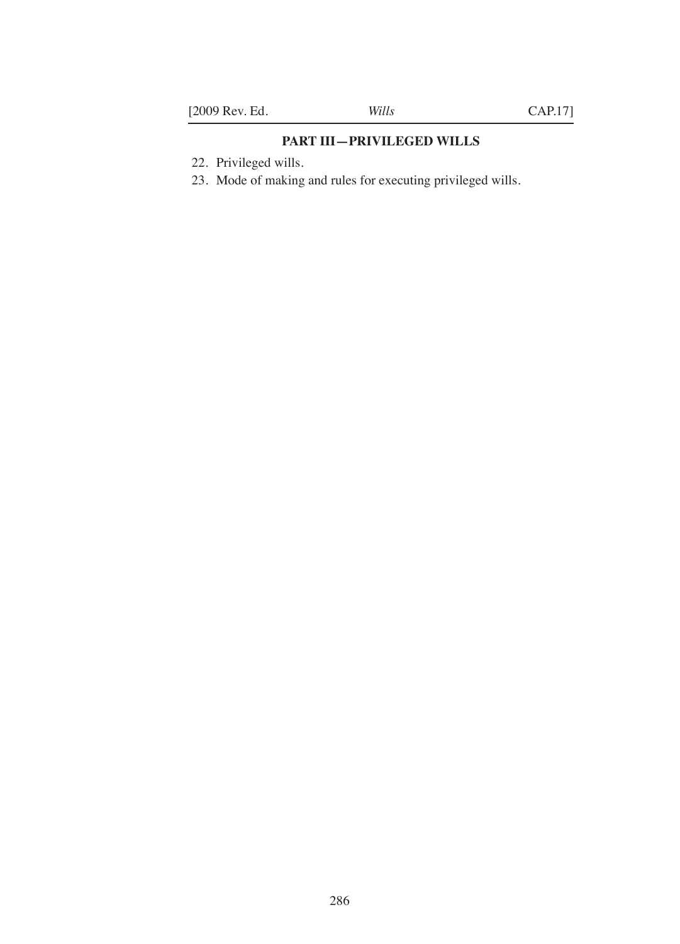# **PART III—PRIVILEGED WILLS**

- 22. Privileged wills.
- 23. Mode of making and rules for executing privileged wills.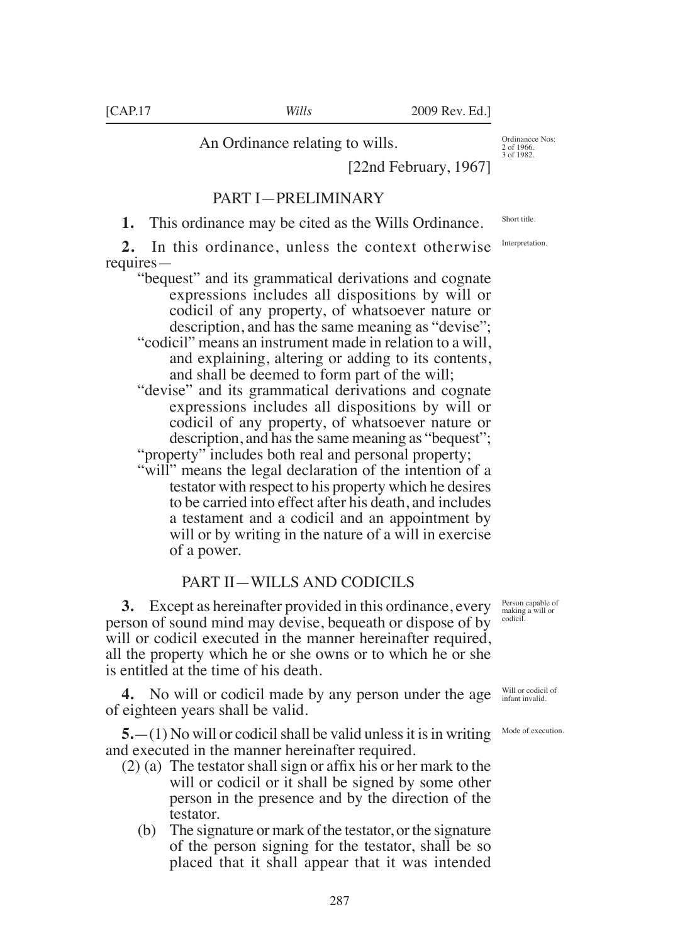An Ordinance relating to wills.

[22nd February, 1967]

## PART I—PRELIMINARY

**1.** This ordinance may be cited as the Wills Ordinance.

**2.** In this ordinance, unless the context otherwise requires—

"bequest" and its grammatical derivations and cognate expressions includes all dispositions by will or codicil of any property, of whatsoever nature or description, and has the same meaning as "devise"; "codicil" means an instrument made in relation to a will,

and explaining, altering or adding to its contents, and shall be deemed to form part of the will;

"devise" and its grammatical derivations and cognate expressions includes all dispositions by will or codicil of any property, of whatsoever nature or description, and has the same meaning as "bequest"; "property" includes both real and personal property;

"will" means the legal declaration of the intention of a testator with respect to his property which he desires to be carried into effect after his death, and includes a testament and a codicil and an appointment by will or by writing in the nature of a will in exercise of a power.

### PART II—WILLS AND CODICILS

**3.** Except as hereinafter provided in this ordinance, every person of sound mind may devise, bequeath or dispose of by will or codicil executed in the manner hereinafter required, all the property which he or she owns or to which he or she is entitled at the time of his death.

**4.** No will or codicil made by any person under the age of eighteen years shall be valid.

**5.**—(1) No will or codicil shall be valid unless it is in writing and executed in the manner hereinafter required.

- (2) (a) The testator shall sign or afix his or her mark to the will or codicil or it shall be signed by some other person in the presence and by the direction of the testator.
	- (b) The signature or mark of the testator, or the signature of the person signing for the testator, shall be so placed that it shall appear that it was intended

Person capable of making a will or codicil.

Will or codicil of infant invalid.

Mode of execution.

Short title.

Ordinancce Nos: 2 of 1966. 3 of 1982.

Interpretation.

287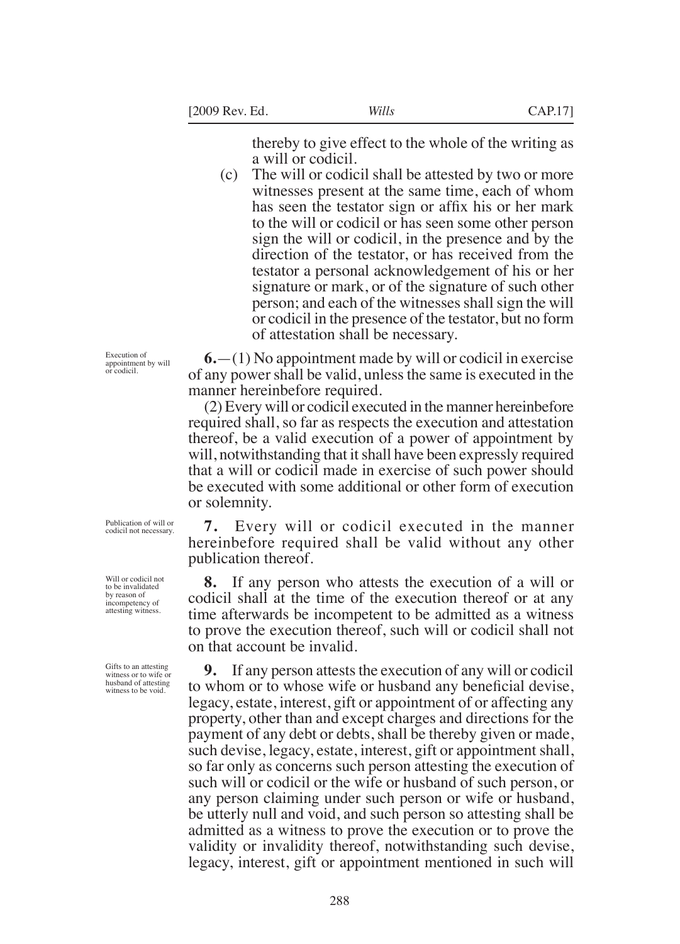thereby to give effect to the whole of the writing as a will or codicil.

(c) The will or codicil shall be attested by two or more witnesses present at the same time, each of whom has seen the testator sign or afix his or her mark to the will or codicil or has seen some other person sign the will or codicil, in the presence and by the direction of the testator, or has received from the testator a personal acknowledgement of his or her signature or mark, or of the signature of such other person; and each of the witnesses shall sign the will or codicil in the presence of the testator, but no form of attestation shall be necessary.

**6.**—(1) No appointment made by will or codicil in exercise of any power shall be valid, unless the same is executed in the manner hereinbefore required.

(2) Every will or codicil executed in the manner hereinbefore required shall, so far as respects the execution and attestation thereof, be a valid execution of a power of appointment by will, notwithstanding that it shall have been expressly required that a will or codicil made in exercise of such power should be executed with some additional or other form of execution or solemnity.

**7.** Every will or codicil executed in the manner hereinbefore required shall be valid without any other publication thereof.

**8.** If any person who attests the execution of a will or codicil shall at the time of the execution thereof or at any time afterwards be incompetent to be admitted as a witness to prove the execution thereof, such will or codicil shall not on that account be invalid.

**9.** If any person attests the execution of any will or codicil to whom or to whose wife or husband any beneficial devise, legacy, estate, interest, gift or appointment of or affecting any property, other than and except charges and directions for the payment of any debt or debts, shall be thereby given or made, such devise, legacy, estate, interest, gift or appointment shall, so far only as concerns such person attesting the execution of such will or codicil or the wife or husband of such person, or any person claiming under such person or wife or husband, be utterly null and void, and such person so attesting shall be admitted as a witness to prove the execution or to prove the validity or invalidity thereof, notwithstanding such devise, legacy, interest, gift or appointment mentioned in such will

Execution of appointment by will or codicil.

Will or codicil not to be invalidated

by reason of incompetency of attesting witness.

Publication of will or codicil not necessary.

Gifts to an attesting witness or to wife or husband of attesting witness to be void.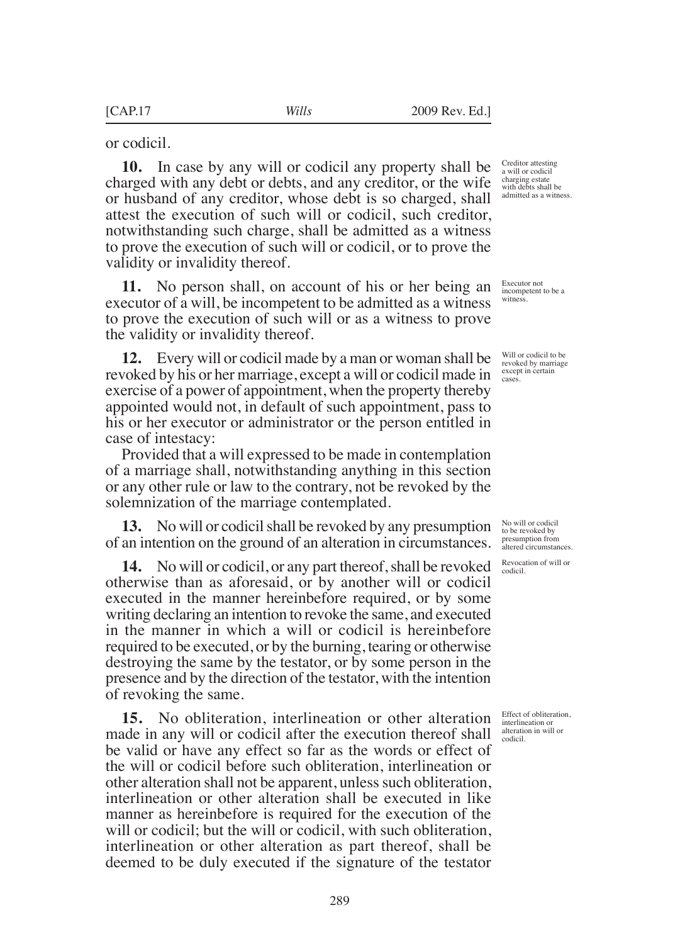or codicil.

**10.** In case by any will or codicil any property shall be charged with any debt or debts, and any creditor, or the wife or husband of any creditor, whose debt is so charged, shall attest the execution of such will or codicil, such creditor, notwithstanding such charge, shall be admitted as a witness to prove the execution of such will or codicil, or to prove the validity or invalidity thereof.

**11.** No person shall, on account of his or her being an executor of a will, be incompetent to be admitted as a witness to prove the execution of such will or as a witness to prove the validity or invalidity thereof.

**12.** Every will or codicil made by a man or woman shall be revoked by his or her marriage, except a will or codicil made in exercise of a power of appointment, when the property thereby appointed would not, in default of such appointment, pass to his or her executor or administrator or the person entitled in case of intestacy:

Provided that a will expressed to be made in contemplation of a marriage shall, notwithstanding anything in this section or any other rule or law to the contrary, not be revoked by the solemnization of the marriage contemplated.

**13.** No will or codicil shall be revoked by any presumption of an intention on the ground of an alteration in circumstances.

**14.** No will or codicil, or any part thereof, shall be revoked otherwise than as aforesaid, or by another will or codicil executed in the manner hereinbefore required, or by some writing declaring an intention to revoke the same, and executed in the manner in which a will or codicil is hereinbefore required to be executed, or by the burning, tearing or otherwise destroying the same by the testator, or by some person in the presence and by the direction of the testator, with the intention of revoking the same.

**15.** No obliteration, interlineation or other alteration made in any will or codicil after the execution thereof shall be valid or have any effect so far as the words or effect of the will or codicil before such obliteration, interlineation or other alteration shall not be apparent, unless such obliteration, interlineation or other alteration shall be executed in like manner as hereinbefore is required for the execution of the will or codicil; but the will or codicil, with such obliteration, interlineation or other alteration as part thereof, shall be deemed to be duly executed if the signature of the testator

Creditor attesting a will or codicil charging estate with debts shall be admitted as a witness.

Executor not incompetent to be a witness.

Will or codicil to be revoked by marriage except in certain cases.

No will or codicil to be revoked by presumption from altered circumstances.

Revocation of will or codicil.

Effect of obliteration, interlineation or alteration in will or codicil.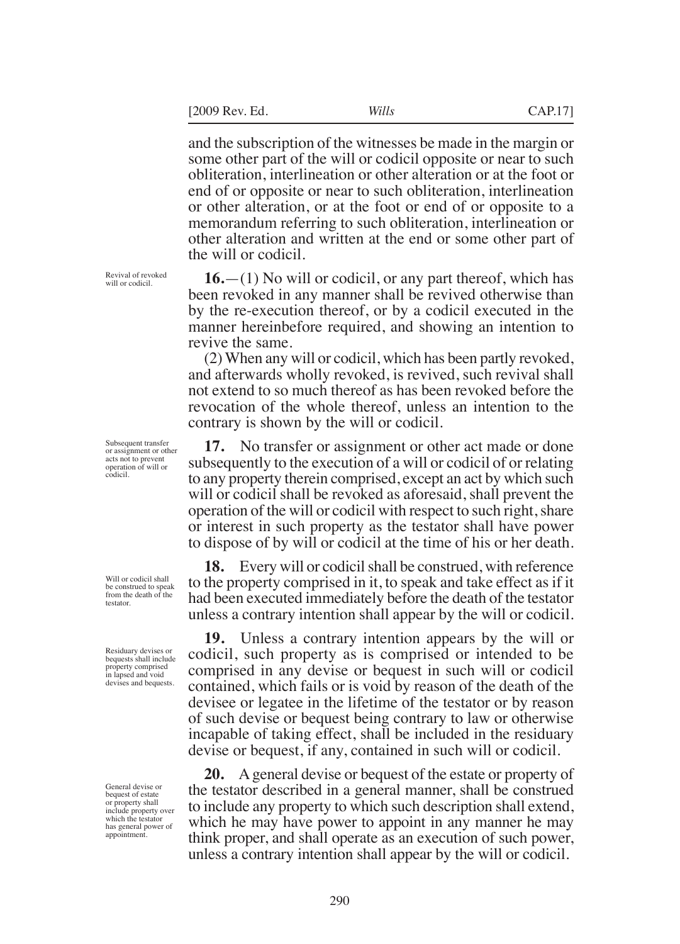the will or codicil.

and the subscription of the witnesses be made in the margin or some other part of the will or codicil opposite or near to such obliteration, interlineation or other alteration or at the foot or end of or opposite or near to such obliteration, interlineation or other alteration, or at the foot or end of or opposite to a memorandum referring to such obliteration, interlineation or other alteration and written at the end or some other part of

**16.**—(1) No will or codicil, or any part thereof, which has been revoked in any manner shall be revived otherwise than by the re-execution thereof, or by a codicil executed in the manner hereinbefore required, and showing an intention to revive the same.

(2) When any will or codicil, which has been partly revoked, and afterwards wholly revoked, is revived, such revival shall not extend to so much thereof as has been revoked before the revocation of the whole thereof, unless an intention to the contrary is shown by the will or codicil.

**17.** No transfer or assignment or other act made or done subsequently to the execution of a will or codicil of or relating to any property therein comprised, except an act by which such will or codicil shall be revoked as aforesaid, shall prevent the operation of the will or codicil with respect to such right, share or interest in such property as the testator shall have power to dispose of by will or codicil at the time of his or her death.

**18.** Every will or codicil shall be construed, with reference to the property comprised in it, to speak and take effect as if it had been executed immediately before the death of the testator unless a contrary intention shall appear by the will or codicil.

**19.** Unless a contrary intention appears by the will or codicil, such property as is comprised or intended to be comprised in any devise or bequest in such will or codicil contained, which fails or is void by reason of the death of the devisee or legatee in the lifetime of the testator or by reason of such devise or bequest being contrary to law or otherwise incapable of taking effect, shall be included in the residuary devise or bequest, if any, contained in such will or codicil.

**20.** A general devise or bequest of the estate or property of the testator described in a general manner, shall be construed to include any property to which such description shall extend, which he may have power to appoint in any manner he may think proper, and shall operate as an execution of such power, unless a contrary intention shall appear by the will or codicil.

Revival of revoked will or codicil

Subsequent transfer or assignment or other acts not to prevent operation of will or codicil.

Will or codicil shall be construed to speak from the death of the testator.

Residuary devises or bequests shall include property comprised in lapsed and void devises and bequests.

General devise or bequest of estate or property shall include property over which the testator has general power of appointment.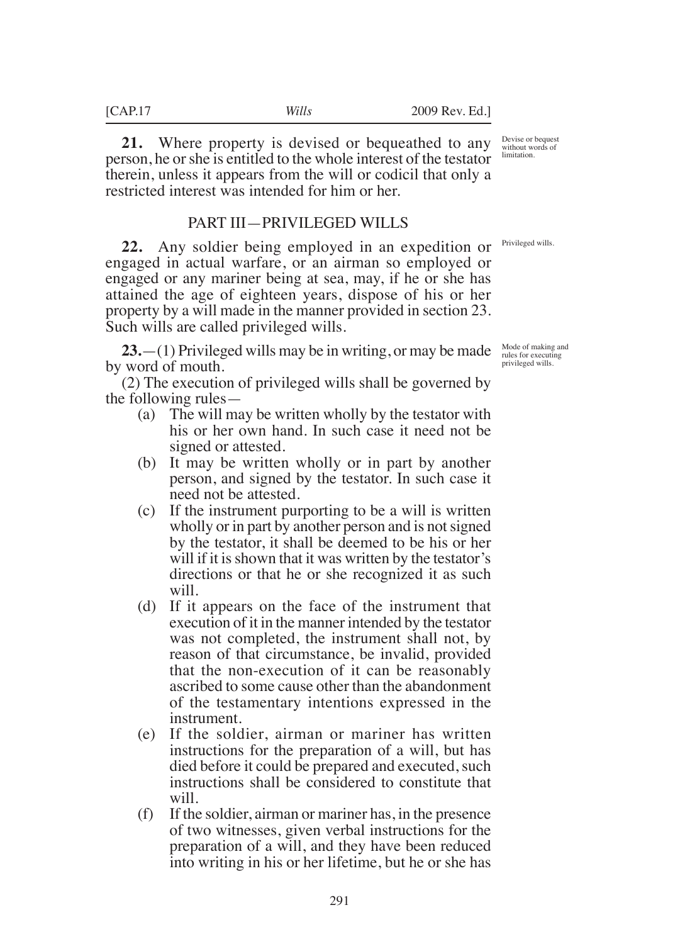**21.** Where property is devised or bequeathed to any person, he or she is entitled to the whole interest of the testator therein, unless it appears from the will or codicil that only a restricted interest was intended for him or her.

### PART III—PRIVILEGED WILLS

**22.** Any soldier being employed in an expedition or engaged in actual warfare, or an airman so employed or engaged or any mariner being at sea, may, if he or she has attained the age of eighteen years, dispose of his or her property by a will made in the manner provided in section 23. Such wills are called privileged wills.

**23.**—(1) Privileged wills may be in writing, or may be made by word of mouth.

(2) The execution of privileged wills shall be governed by the following rules—

- (a) The will may be written wholly by the testator with his or her own hand. In such case it need not be signed or attested.
- (b) It may be written wholly or in part by another person, and signed by the testator. In such case it need not be attested.
- (c) If the instrument purporting to be a will is written wholly or in part by another person and is not signed by the testator, it shall be deemed to be his or her will if it is shown that it was written by the testator's directions or that he or she recognized it as such will.
- (d) If it appears on the face of the instrument that execution of it in the manner intended by the testator was not completed, the instrument shall not, by reason of that circumstance, be invalid, provided that the non-execution of it can be reasonably ascribed to some cause other than the abandonment of the testamentary intentions expressed in the instrument.
- (e) If the soldier, airman or mariner has written instructions for the preparation of a will, but has died before it could be prepared and executed, such instructions shall be considered to constitute that will.
- (f) If the soldier, airman or mariner has, in the presence of two witnesses, given verbal instructions for the preparation of a will, and they have been reduced into writing in his or her lifetime, but he or she has

Devise or bequest without words of limitation.

Privileged wills.

Mode of making and rules for executing privileged wills.